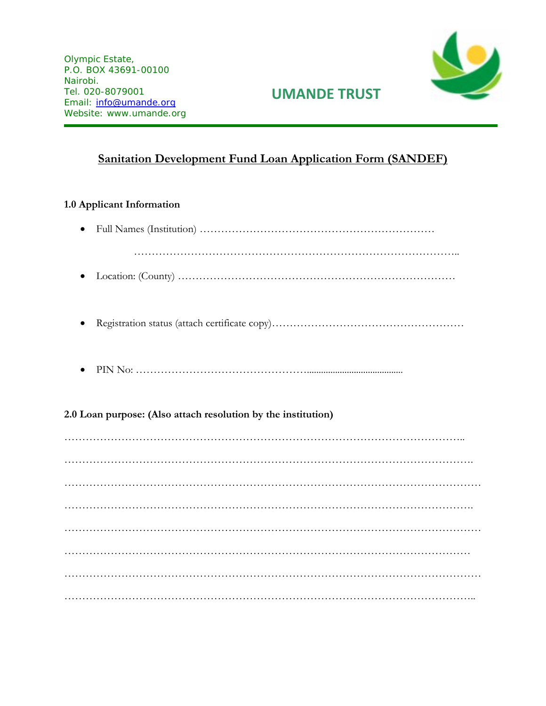Olympic Estate, P.O. BOX 43691-00100 Nairobi. Tel. 020-8079001 Email: [info@umande.org](mailto:info@umande.org) Website: www.umande.org



### **UMANDE TRUST**

### **Sanitation Development Fund Loan Application Form (SANDEF)**

### **1.0 Applicant Information**

| $\bullet$ |                                                               |
|-----------|---------------------------------------------------------------|
|           |                                                               |
|           |                                                               |
|           | 2.0 Loan purpose: (Also attach resolution by the institution) |
|           |                                                               |
|           |                                                               |
|           |                                                               |
|           |                                                               |
|           |                                                               |
|           |                                                               |
|           |                                                               |
|           |                                                               |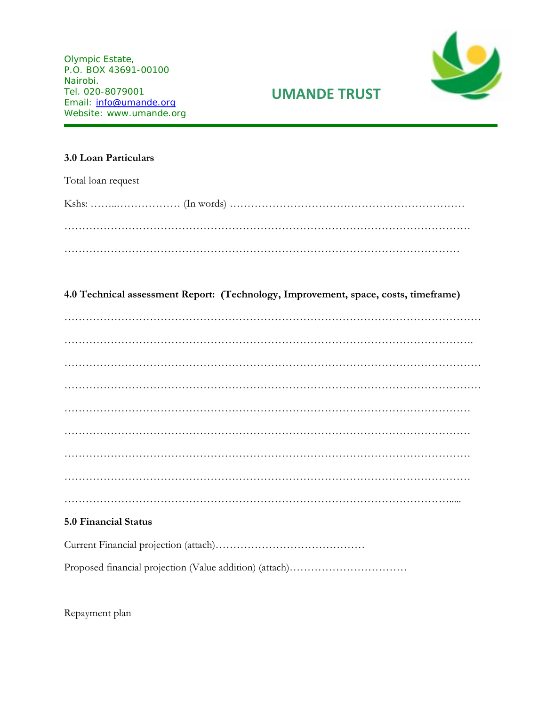Olympic Estate, P.O. BOX 43691-00100 Nairobi. Tel. 020-8079001 Email: [info@umande.org](mailto:info@umande.org) Website: www.umande.org



# **UMANDE TRUST**

#### **3.0 Loan Particulars**

Total loan request

#### **4.0 Technical assessment Report: (Technology, Improvement, space, costs, timeframe)**

#### **5.0 Financial Status**

|--|

Proposed financial projection (Value addition) (attach)……………………………

Repayment plan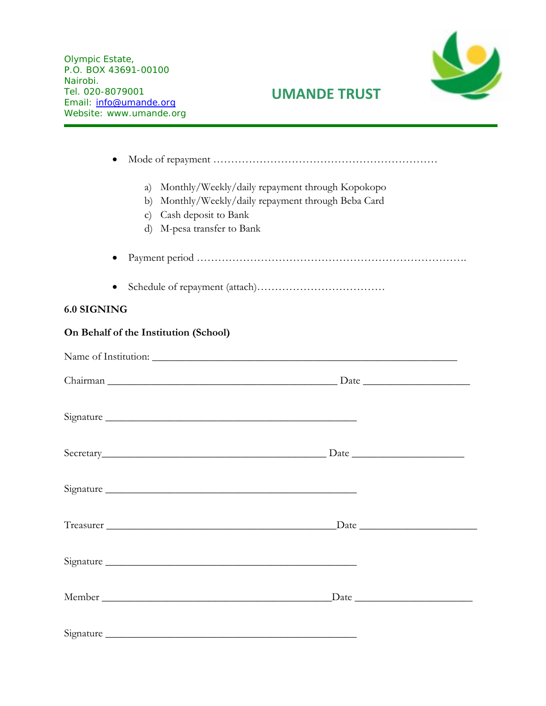Olympic Estate, P.O. BOX 43691-00100 Nairobi. Tel. 020-8079001 Email: [info@umande.org](mailto:info@umande.org) Website: www.umande.org



# **UMANDE TRUST**

|                    | Monthly/Weekly/daily repayment through Kopokopo<br>a)<br>Monthly/Weekly/daily repayment through Beba Card<br>b)<br>Cash deposit to Bank<br>$\mathbf{c})$<br>d) M-pesa transfer to Bank                                        |
|--------------------|-------------------------------------------------------------------------------------------------------------------------------------------------------------------------------------------------------------------------------|
|                    |                                                                                                                                                                                                                               |
|                    |                                                                                                                                                                                                                               |
| <b>6.0 SIGNING</b> |                                                                                                                                                                                                                               |
|                    | On Behalf of the Institution (School)                                                                                                                                                                                         |
|                    |                                                                                                                                                                                                                               |
|                    |                                                                                                                                                                                                                               |
|                    |                                                                                                                                                                                                                               |
|                    |                                                                                                                                                                                                                               |
|                    |                                                                                                                                                                                                                               |
|                    | Date has been a series of the series of the series of the series of the series of the series of the series of the series of the series of the series of the series of the series of the series of the series of the series of |
|                    | Signature                                                                                                                                                                                                                     |
|                    | $\frac{Date}{\ }$                                                                                                                                                                                                             |
|                    |                                                                                                                                                                                                                               |